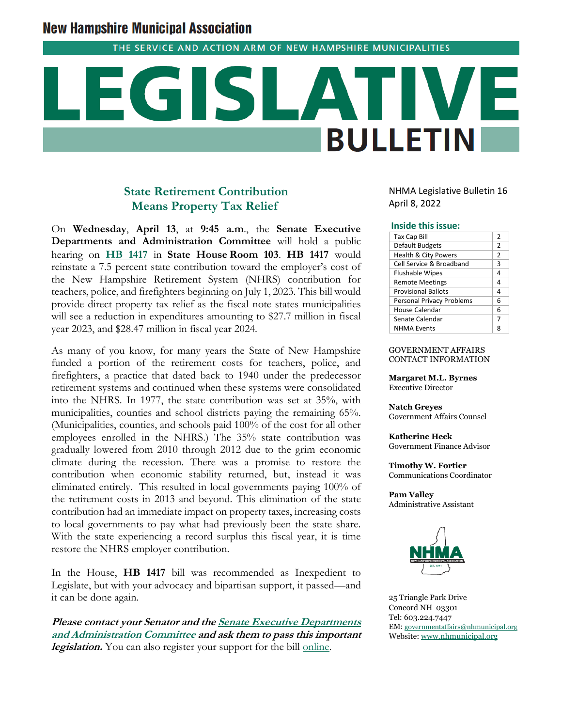# **New Hampshire Municipal Association**

THE SERVICE AND ACTION ARM OF NEW HAMPSHIRE MUNICIPALITIES

# **BULLETIN**

# **State Retirement Contribution Means Property Tax Relief**

On **Wednesday**, **April 13**, at **9:45 a.m**., the **Senate Executive Departments and Administration Committee** will hold a public hearing on **[HB 1417](http://www.gencourt.state.nh.us/bill_status/pdf.aspx?id=28309&q=billVersion)** in **State House Room 103**. **HB 1417** would reinstate a 7.5 percent state contribution toward the employer's cost of the New Hampshire Retirement System (NHRS) contribution for teachers, police, and firefighters beginning on July 1, 2023. This bill would provide direct property tax relief as the fiscal note states municipalities will see a reduction in expenditures amounting to \$27.7 million in fiscal year 2023, and \$28.47 million in fiscal year 2024.

As many of you know, for many years the State of New Hampshire funded a portion of the retirement costs for teachers, police, and firefighters, a practice that dated back to 1940 under the predecessor retirement systems and continued when these systems were consolidated into the NHRS. In 1977, the state contribution was set at 35%, with municipalities, counties and school districts paying the remaining 65%. (Municipalities, counties, and schools paid 100% of the cost for all other employees enrolled in the NHRS.) The 35% state contribution was gradually lowered from 2010 through 2012 due to the grim economic climate during the recession. There was a promise to restore the contribution when economic stability returned, but, instead it was eliminated entirely. This resulted in local governments paying 100% of the retirement costs in 2013 and beyond. This elimination of the state contribution had an immediate impact on property taxes, increasing costs to local governments to pay what had previously been the state share. With the state experiencing a record surplus this fiscal year, it is time restore the NHRS employer contribution.

In the House, **HB 1417** bill was recommended as Inexpedient to Legislate, but with your advocacy and bipartisan support, it passed—and it can be done again.

**Please contact your Senator and th[e Senate Executive Departments](http://www.gencourt.state.nh.us/senate/committees/committee_details.aspx?cc=31)  [and Administration Committee](http://www.gencourt.state.nh.us/senate/committees/committee_details.aspx?cc=31) and ask them to pass this important**  legislation. You can also register your support for the bill [online.](http://www.gencourt.state.nh.us/remotecommittee/senate.aspx)

NHMA Legislative Bulletin 16 April 8, 2022

### **Inside this issue:**

| <b>Tax Cap Bill</b>              | 2             |
|----------------------------------|---------------|
| Default Budgets                  | $\mathcal{P}$ |
| <b>Health &amp; City Powers</b>  | $\mathcal{P}$ |
| Cell Service & Broadband         | 3             |
| <b>Flushable Wipes</b>           | 4             |
| <b>Remote Meetings</b>           | 4             |
| <b>Provisional Ballots</b>       | 4             |
| <b>Personal Privacy Problems</b> | 6             |
| House Calendar                   | 6             |
| Senate Calendar                  | 7             |
| <b>NHMA Fvents</b>               | я             |

### GOVERNMENT AFFAIRS CONTACT INFORMATION

**Margaret M.L. Byrnes** Executive Director

**Natch Greyes** Government Affairs Counsel

**Katherine Heck** Government Finance Advisor

**Timothy W. Fortier** Communications Coordinator

**Pam Valley** Administrative Assistant



25 Triangle Park Drive Concord NH 03301 Tel: 603.224.7447 EM: [governmentaffairs@nhmunicipal.org](mailto:governmentaffairs@nhmunicipal.org) Website: [www.nhmunicipal.org](http://www.nhmunicipal.org/)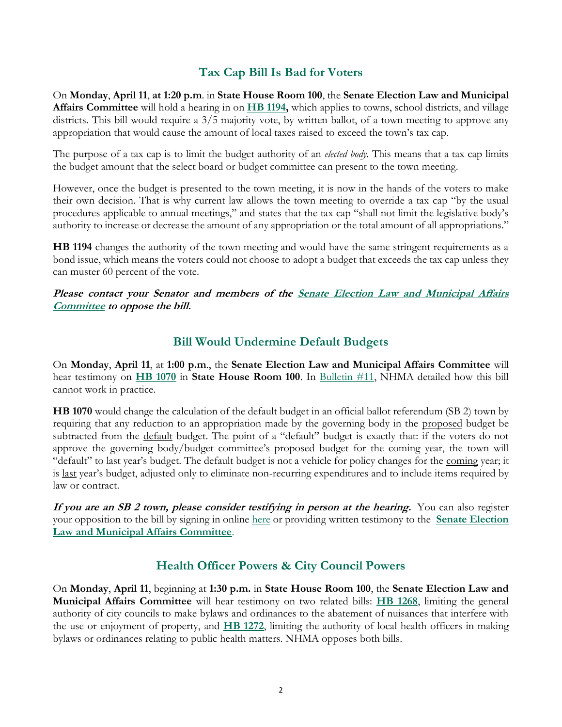# **Tax Cap Bill Is Bad for Voters**

On **Monday**, **April 11**, **at 1:20 p.m**. in **State House Room 100**, the **Senate Election Law and Municipal Affairs Committee** will hold a hearing in on **[HB 1194,](http://www.gencourt.state.nh.us/bill_status/pdf.aspx?id=27492&q=billVersion)** which applies to towns, school districts, and village districts. This bill would require a 3/5 majority vote, by written ballot, of a town meeting to approve any appropriation that would cause the amount of local taxes raised to exceed the town's tax cap.

The purpose of a tax cap is to limit the budget authority of an *elected body.* This means that a tax cap limits the budget amount that the select board or budget committee can present to the town meeting.

However, once the budget is presented to the town meeting, it is now in the hands of the voters to make their own decision. That is why current law allows the town meeting to override a tax cap "by the usual procedures applicable to annual meetings," and states that the tax cap "shall not limit the legislative body's authority to increase or decrease the amount of any appropriation or the total amount of all appropriations."

**HB 1194** changes the authority of the town meeting and would have the same stringent requirements as a bond issue, which means the voters could not choose to adopt a budget that exceeds the tax cap unless they can muster 60 percent of the vote.

**Please contact your Senator and members of the [Senate Election Law and Municipal Affairs](http://www.gencourt.state.nh.us/senate/committees/committee_details.aspx?cc=1421)  [Committee](http://www.gencourt.state.nh.us/senate/committees/committee_details.aspx?cc=1421) to oppose the bill.**

# **Bill Would Undermine Default Budgets**

On **Monday**, **April 11**, at **1:00 p.m**., the **Senate Election Law and Municipal Affairs Committee** will hear testimony on **[HB 1070](http://www.gencourt.state.nh.us/bill_status/pdf.aspx?id=26094&q=billVersion)** in **State House Room 100**. In [Bulletin #11,](https://www.nhmunicipal.org/legislative-bulletin/2022-nhma-legislative-bulletin-11) NHMA detailed how this bill cannot work in practice.

**HB 1070** would change the calculation of the default budget in an official ballot referendum (SB 2) town by requiring that any reduction to an appropriation made by the governing body in the proposed budget be subtracted from the <u>default</u> budget. The point of a "default" budget is exactly that: if the voters do not approve the governing body/budget committee's proposed budget for the coming year, the town will "default" to last year's budget. The default budget is not a vehicle for policy changes for the coming year; it is last year's budget, adjusted only to eliminate non-recurring expenditures and to include items required by law or contract.

**If you are an SB 2 town, please consider testifying in person at the hearing.** You can also register your opposition to the bill by signing in online [here](http://www.gencourt.state.nh.us/senate/schedule/eventDetails.aspx?event=7364&et=1) or providing written testimony to the **[Senate Election](http://www.gencourt.state.nh.us/senate/committees/committee_details.aspx?cc=1421)  [Law and Municipal Affairs Committee](http://www.gencourt.state.nh.us/senate/committees/committee_details.aspx?cc=1421)**.

# **Health Officer Powers & City Council Powers**

On **Monday**, **April 11**, beginning at **1:30 p.m.** in **State House Room 100**, the **Senate Election Law and Municipal Affairs Committee** will hear testimony on two related bills: **[HB 1268](http://www.gencourt.state.nh.us/bill_status/pdf.aspx?id=33226&q=billVersion)**, limiting the general authority of city councils to make bylaws and ordinances to the abatement of nuisances that interfere with the use or enjoyment of property, and **[HB 1272](http://www.gencourt.state.nh.us/bill_status/pdf.aspx?id=33004&q=billVersion)**, limiting the authority of local health officers in making bylaws or ordinances relating to public health matters. NHMA opposes both bills.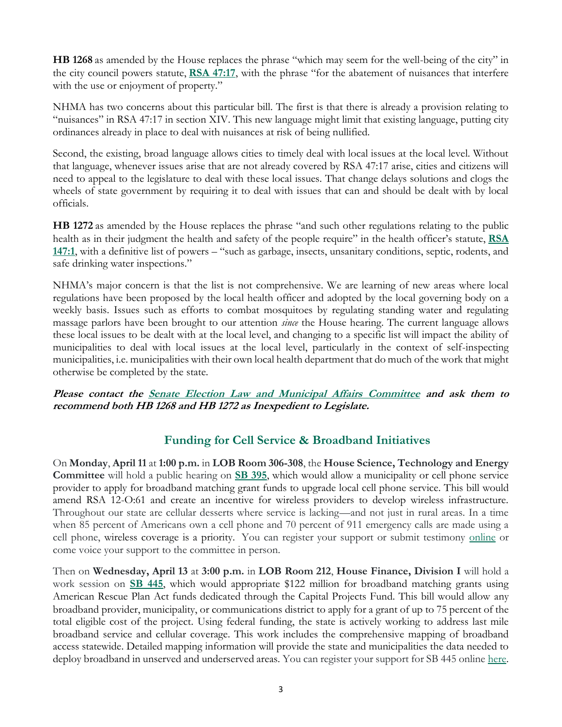**HB 1268** as amended by the House replaces the phrase "which may seem for the well-being of the city" in the city council powers statute, **[RSA 47:17](http://www.gencourt.state.nh.us/rsa/html/III/47/47-17.htm)**, with the phrase "for the abatement of nuisances that interfere with the use or enjoyment of property."

NHMA has two concerns about this particular bill. The first is that there is already a provision relating to "nuisances" in RSA 47:17 in section XIV. This new language might limit that existing language, putting city ordinances already in place to deal with nuisances at risk of being nullified.

Second, the existing, broad language allows cities to timely deal with local issues at the local level. Without that language, whenever issues arise that are not already covered by RSA 47:17 arise, cities and citizens will need to appeal to the legislature to deal with these local issues. That change delays solutions and clogs the wheels of state government by requiring it to deal with issues that can and should be dealt with by local officials.

**HB 1272** as amended by the House replaces the phrase "and such other regulations relating to the public health as in their judgment the health and safety of the people require" in the health officer's statute, **[RSA](http://www.gencourt.state.nh.us/rsa/html/x/147/147-1.htm)  [147:1](http://www.gencourt.state.nh.us/rsa/html/x/147/147-1.htm)**, with a definitive list of powers – "such as garbage, insects, unsanitary conditions, septic, rodents, and safe drinking water inspections."

NHMA's major concern is that the list is not comprehensive. We are learning of new areas where local regulations have been proposed by the local health officer and adopted by the local governing body on a weekly basis. Issues such as efforts to combat mosquitoes by regulating standing water and regulating massage parlors have been brought to our attention *since* the House hearing. The current language allows these local issues to be dealt with at the local level, and changing to a specific list will impact the ability of municipalities to deal with local issues at the local level, particularly in the context of self-inspecting municipalities, i.e. municipalities with their own local health department that do much of the work that might otherwise be completed by the state.

### **Please contact the [Senate Election Law and Municipal Affairs Committee](http://www.gencourt.state.nh.us/senate/committees/committee_details.aspx?cc=1421) and ask them to recommend both HB 1268 and HB 1272 as Inexpedient to Legislate.**

# **Funding for Cell Service & Broadband Initiatives**

On **Monday**, **April 11** at **1:00 p.m.** in **LOB Room 306-308**, the **House Science, Technology and Energy Committee** will hold a public hearing on **[SB 395](http://www.gencourt.state.nh.us/bill_status/pdf.aspx?id=31215&q=billVersion)**, which would allow a municipality or cell phone service provider to apply for broadband matching grant funds to upgrade local cell phone service. This bill would amend RSA 12-O:61 and create an incentive for wireless providers to develop wireless infrastructure. Throughout our state are cellular desserts where service is lacking—and not just in rural areas. In a time when 85 percent of Americans own a cell phone and 70 percent of 911 emergency calls are made using a cell phone, wireless coverage is a priority. You can register your support or submit testimony [online](http://www.gencourt.state.nh.us/house/schedule/eventDetails.aspx?event=7281&et=1) or come voice your support to the committee in person.

Then on **Wednesday, April 13** at **3:00 p.m.** in **LOB Room 212**, **House Finance, Division I** will hold a work session on **[SB 445](http://www.gencourt.state.nh.us/bill_status/pdf.aspx?id=33705&q=amendment)**, which would appropriate \$122 million for broadband matching grants using American Rescue Plan Act funds dedicated through the Capital Projects Fund. This bill would allow any broadband provider, municipality, or communications district to apply for a grant of up to 75 percent of the total eligible cost of the project. Using federal funding, the state is actively working to address last mile broadband service and cellular coverage. This work includes the comprehensive mapping of broadband access statewide. Detailed mapping information will provide the state and municipalities the data needed to deploy broadband in unserved and underserved areas. You can register your support for SB 445 online [here.](http://www.gencourt.state.nh.us/house/schedule/eventDetails.aspx?event=7369&et=2)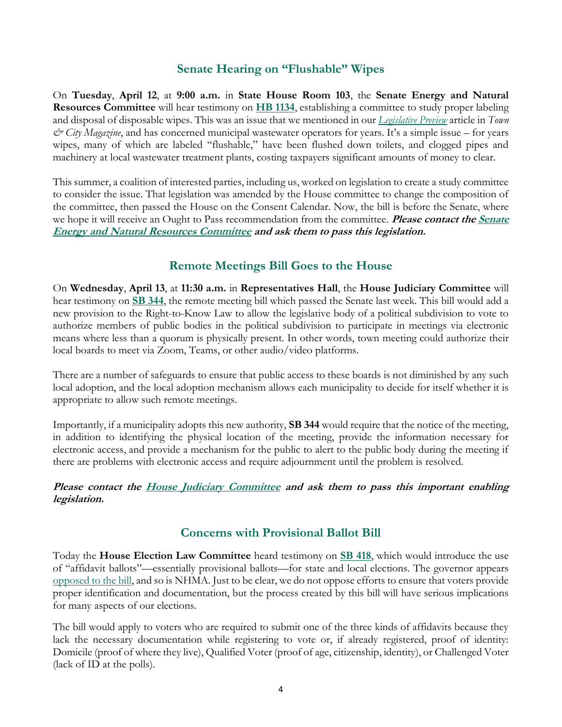# **Senate Hearing on "Flushable" Wipes**

On **Tuesday**, **April 12**, at **9:00 a.m.** in **State House Room 103**, the **Senate Energy and Natural Resources Committee** will hear testimony on **[HB 1134](http://www.gencourt.state.nh.us/bill_status/pdf.aspx?id=31960&q=billVersion)**, establishing a committee to study proper labeling and disposal of disposable wipes. This was an issue that we mentioned in our *[Legislative Preview](https://www.nhmunicipal.org/town-city-article/2022-legislative-preview-time-raise-your-hometown-voices)* article in *Town & City Magazine*, and has concerned municipal wastewater operators for years. It's a simple issue – for years wipes, many of which are labeled "flushable," have been flushed down toilets, and clogged pipes and machinery at local wastewater treatment plants, costing taxpayers significant amounts of money to clear.

This summer, a coalition of interested parties, including us, worked on legislation to create a study committee to consider the issue. That legislation was amended by the House committee to change the composition of the committee, then passed the House on the Consent Calendar. Now, the bill is before the Senate, where we hope it will receive an Ought to Pass recommendation from the committee. **Please contact the Senate [Energy and Natural Resources Committee](http://www.gencourt.state.nh.us/senate/committees/committee_details.aspx?cc=41) and ask them to pass this legislation.**

# **Remote Meetings Bill Goes to the House**

On **Wednesday**, **April 13**, at **11:30 a.m.** in **Representatives Hall**, the **House Judiciary Committee** will hear testimony on **[SB 344](http://www.gencourt.state.nh.us/bill_Status/pdf.aspx?id=33860&q=billVersion)**, the remote meeting bill which passed the Senate last week. This bill would add a new provision to the Right-to-Know Law to allow the legislative body of a political subdivision to vote to authorize members of public bodies in the political subdivision to participate in meetings via electronic means where less than a quorum is physically present. In other words, town meeting could authorize their local boards to meet via Zoom, Teams, or other audio/video platforms.

There are a number of safeguards to ensure that public access to these boards is not diminished by any such local adoption, and the local adoption mechanism allows each municipality to decide for itself whether it is appropriate to allow such remote meetings.

Importantly, if a municipality adopts this new authority, **SB 344** would require that the notice of the meeting, in addition to identifying the physical location of the meeting, provide the information necessary for electronic access, and provide a mechanism for the public to alert to the public body during the meeting if there are problems with electronic access and require adjournment until the problem is resolved.

### **Please contact the [House Judiciary Committee](http://www.gencourt.state.nh.us/house/committees/committeedetails.aspx?id=5) and ask them to pass this important enabling legislation.**

# **Concerns with Provisional Ballot Bill**

Today the **House Election Law Committee** heard testimony on **[SB 418](http://www.gencourt.state.nh.us/bill_status/pdf.aspx?id=32940&q=amendment)**, which would introduce the use of "affidavit ballots"—essentially provisional ballots—for state and local elections. The governor appears [opposed to the bill,](https://newhampshirebulletin.com/briefs/sununu-says-he-is-opposed-to-legislation-on-affidavit-ballots/) and so is NHMA. Just to be clear, we do not oppose efforts to ensure that voters provide proper identification and documentation, but the process created by this bill will have serious implications for many aspects of our elections.

The bill would apply to voters who are required to submit one of the three kinds of affidavits because they lack the necessary documentation while registering to vote or, if already registered, proof of identity: Domicile (proof of where they live), Qualified Voter (proof of age, citizenship, identity), or Challenged Voter (lack of ID at the polls).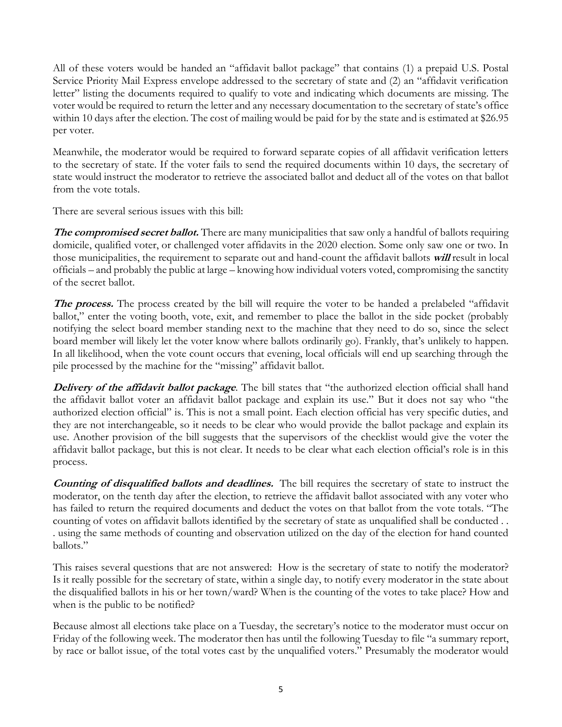All of these voters would be handed an "affidavit ballot package" that contains (1) a prepaid U.S. Postal Service Priority Mail Express envelope addressed to the secretary of state and (2) an "affidavit verification letter" listing the documents required to qualify to vote and indicating which documents are missing. The voter would be required to return the letter and any necessary documentation to the secretary of state's office within 10 days after the election. The cost of mailing would be paid for by the state and is estimated at \$26.95 per voter.

Meanwhile, the moderator would be required to forward separate copies of all affidavit verification letters to the secretary of state. If the voter fails to send the required documents within 10 days, the secretary of state would instruct the moderator to retrieve the associated ballot and deduct all of the votes on that ballot from the vote totals.

There are several serious issues with this bill:

**The compromised secret ballot.** There are many municipalities that saw only a handful of ballots requiring domicile, qualified voter, or challenged voter affidavits in the 2020 election. Some only saw one or two. In those municipalities, the requirement to separate out and hand-count the affidavit ballots **will** result in local officials – and probably the public at large – knowing how individual voters voted, compromising the sanctity of the secret ballot.

**The process.** The process created by the bill will require the voter to be handed a prelabeled "affidavit" ballot," enter the voting booth, vote, exit, and remember to place the ballot in the side pocket (probably notifying the select board member standing next to the machine that they need to do so, since the select board member will likely let the voter know where ballots ordinarily go). Frankly, that's unlikely to happen. In all likelihood, when the vote count occurs that evening, local officials will end up searching through the pile processed by the machine for the "missing" affidavit ballot.

**Delivery of the affidavit ballot package**. The bill states that "the authorized election official shall hand the affidavit ballot voter an affidavit ballot package and explain its use." But it does not say who "the authorized election official" is. This is not a small point. Each election official has very specific duties, and they are not interchangeable, so it needs to be clear who would provide the ballot package and explain its use. Another provision of the bill suggests that the supervisors of the checklist would give the voter the affidavit ballot package, but this is not clear. It needs to be clear what each election official's role is in this process.

**Counting of disqualified ballots and deadlines.** The bill requires the secretary of state to instruct the moderator, on the tenth day after the election, to retrieve the affidavit ballot associated with any voter who has failed to return the required documents and deduct the votes on that ballot from the vote totals. "The counting of votes on affidavit ballots identified by the secretary of state as unqualified shall be conducted . . . using the same methods of counting and observation utilized on the day of the election for hand counted ballots."

This raises several questions that are not answered: How is the secretary of state to notify the moderator? Is it really possible for the secretary of state, within a single day, to notify every moderator in the state about the disqualified ballots in his or her town/ward? When is the counting of the votes to take place? How and when is the public to be notified?

Because almost all elections take place on a Tuesday, the secretary's notice to the moderator must occur on Friday of the following week. The moderator then has until the following Tuesday to file "a summary report, by race or ballot issue, of the total votes cast by the unqualified voters." Presumably the moderator would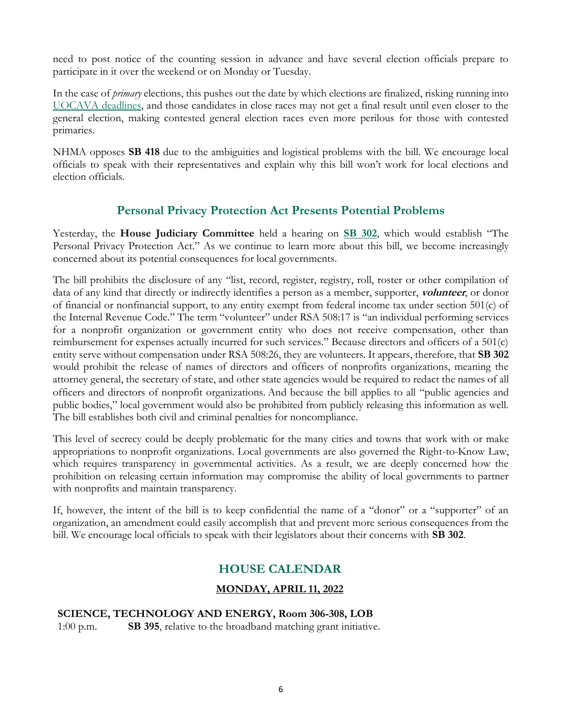need to post notice of the counting session in advance and have several election officials prepare to participate in it over the weekend or on Monday or Tuesday.

In the case of *primary* elections, this pushes out the date by which elections are finalized, risking running into [UOCAVA deadlines,](https://www.fvap.gov/info/laws/uocava) and those candidates in close races may not get a final result until even closer to the general election, making contested general election races even more perilous for those with contested primaries.

NHMA opposes **SB 418** due to the ambiguities and logistical problems with the bill. We encourage local officials to speak with their representatives and explain why this bill won't work for local elections and election officials.

# **Personal Privacy Protection Act Presents Potential Problems**

Yesterday, the **House Judiciary Committee** held a hearing on **[SB 302](http://www.gencourt.state.nh.us/bill_status/pdf.aspx?id=32250&q=billVersion)**, which would establish "The Personal Privacy Protection Act." As we continue to learn more about this bill, we become increasingly concerned about its potential consequences for local governments.

The bill prohibits the disclosure of any "list, record, register, registry, roll, roster or other compilation of data of any kind that directly or indirectly identifies a person as a member, supporter, **volunteer**, or donor of financial or nonfinancial support, to any entity exempt from federal income tax under section 501(c) of the Internal Revenue Code." The term "volunteer" under RSA 508:17 is "an individual performing services for a nonprofit organization or government entity who does not receive compensation, other than reimbursement for expenses actually incurred for such services." Because directors and officers of a 501(c) entity serve without compensation under RSA 508:26, they are volunteers. It appears, therefore, that **SB 302** would prohibit the release of names of directors and officers of nonprofits organizations, meaning the attorney general, the secretary of state, and other state agencies would be required to redact the names of all officers and directors of nonprofit organizations. And because the bill applies to all "public agencies and public bodies," local government would also be prohibited from publicly releasing this information as well. The bill establishes both civil and criminal penalties for noncompliance.

This level of secrecy could be deeply problematic for the many cities and towns that work with or make appropriations to nonprofit organizations. Local governments are also governed the Right-to-Know Law, which requires transparency in governmental activities. As a result, we are deeply concerned how the prohibition on releasing certain information may compromise the ability of local governments to partner with nonprofits and maintain transparency.

If, however, the intent of the bill is to keep confidential the name of a "donor" or a "supporter" of an organization, an amendment could easily accomplish that and prevent more serious consequences from the bill. We encourage local officials to speak with their legislators about their concerns with **SB 302**.

# **HOUSE CALENDAR**

# **MONDAY, APRIL 11, 2022**

# **SCIENCE, TECHNOLOGY AND ENERGY, Room 306-308, LOB**

1:00 p.m. **SB 395**, relative to the broadband matching grant initiative.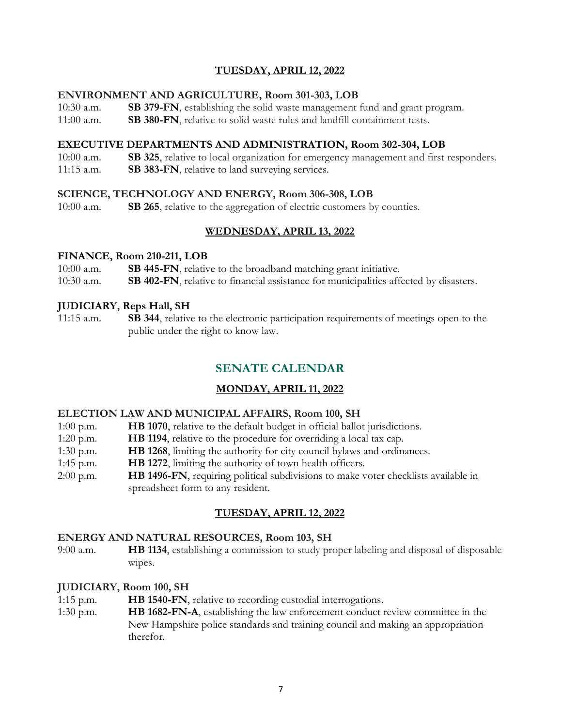# **TUESDAY, APRIL 12, 2022**

### **ENVIRONMENT AND AGRICULTURE, Room 301-303, LOB**

- 10:30 a.m. **SB 379-FN**, establishing the solid waste management fund and grant program.
- 11:00 a.m. **SB 380-FN**, relative to solid waste rules and landfill containment tests.

### **EXECUTIVE DEPARTMENTS AND ADMINISTRATION, Room 302-304, LOB**

- 10:00 a.m. **SB 325**, relative to local organization for emergency management and first responders.
- 11:15 a.m. **SB 383-FN**, relative to land surveying services.

### **SCIENCE, TECHNOLOGY AND ENERGY, Room 306-308, LOB**

10:00 a.m. **SB 265**, relative to the aggregation of electric customers by counties.

### **WEDNESDAY, APRIL 13, 2022**

### **FINANCE, Room 210-211, LOB**

10:00 a.m. **SB 445-FN**, relative to the broadband matching grant initiative.

10:30 a.m. **SB 402-FN**, relative to financial assistance for municipalities affected by disasters.

### **JUDICIARY, Reps Hall, SH**

11:15 a.m. **SB 344**, relative to the electronic participation requirements of meetings open to the public under the right to know law.

# **SENATE CALENDAR**

# **MONDAY, APRIL 11, 2022**

### **ELECTION LAW AND MUNICIPAL AFFAIRS, Room 100, SH**

| <b>HB 1070</b> , relative to the default budget in official ballot jurisdictions.<br>$1:00$ p.m. |
|--------------------------------------------------------------------------------------------------|
|--------------------------------------------------------------------------------------------------|

- 1:20 p.m. **HB 1194**, relative to the procedure for overriding a local tax cap.
- 1:30 p.m. **HB 1268**, limiting the authority for city council bylaws and ordinances.
- 1:45 p.m. **HB 1272**, limiting the authority of town health officers.
- 2:00 p.m. **HB 1496-FN**, requiring political subdivisions to make voter checklists available in spreadsheet form to any resident.

### **TUESDAY, APRIL 12, 2022**

### **ENERGY AND NATURAL RESOURCES, Room 103, SH**

9:00 a.m. **HB 1134**, establishing a commission to study proper labeling and disposal of disposable wipes.

### **JUDICIARY, Room 100, SH**

- 1:15 p.m. **HB 1540-FN**, relative to recording custodial interrogations.
- 1:30 p.m. **HB 1682-FN-A**, establishing the law enforcement conduct review committee in the New Hampshire police standards and training council and making an appropriation therefor.